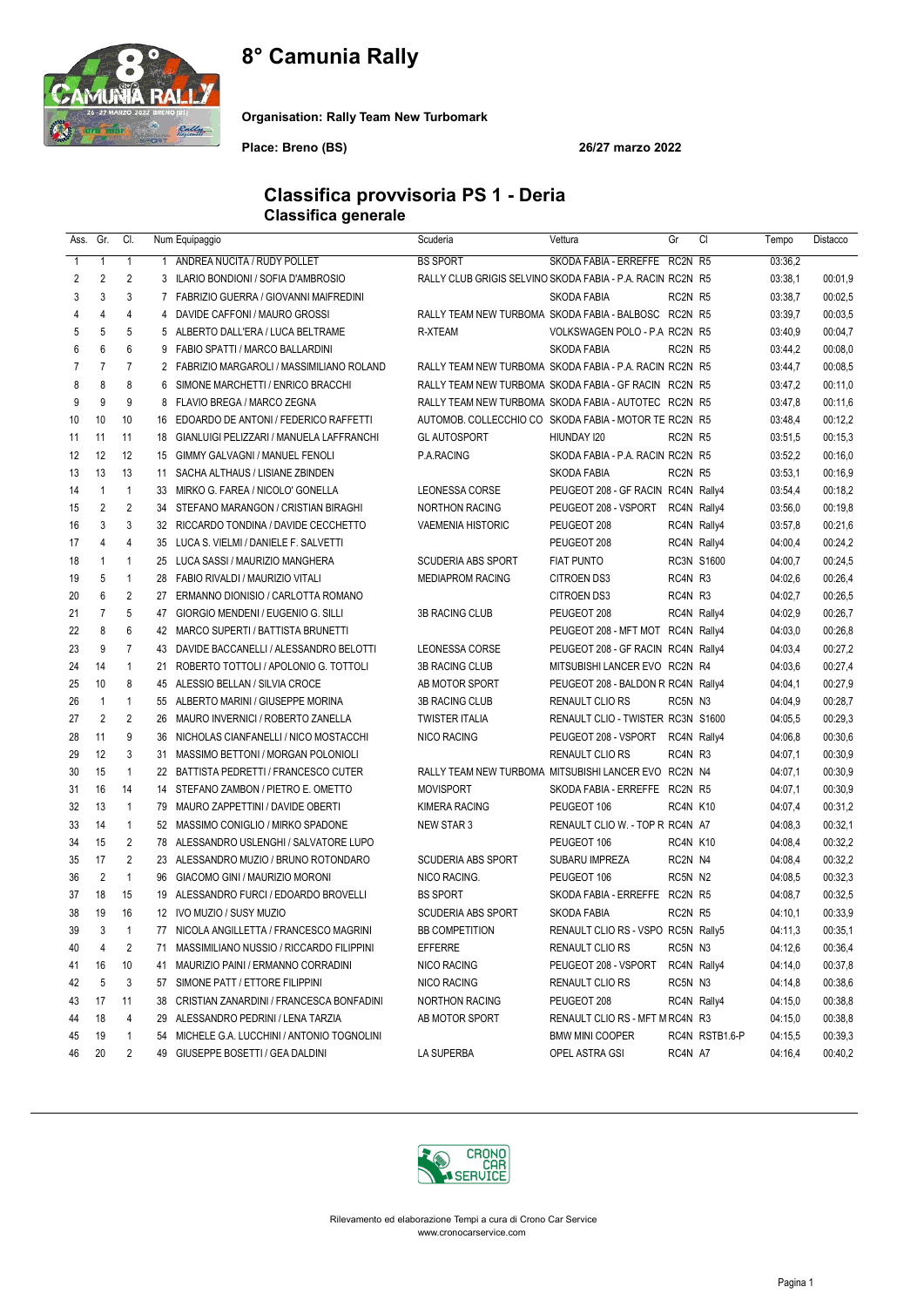## 8° Camunia Rally



Organisation: Rally Team New Turbomark

Place: Breno (BS) 26/27 marzo 2022

#### Classifica provvisoria PS 1 - Deria Classifica generale

| Ass.         | Gr.            | CI.            |                | Num Equipaggio                               | Scuderia                                                   | Vettura                            | Gr          | CI             | Tempo   | Distacco |
|--------------|----------------|----------------|----------------|----------------------------------------------|------------------------------------------------------------|------------------------------------|-------------|----------------|---------|----------|
| $\mathbf{1}$ | 1              | $\mathbf{1}$   | $\mathbf{1}$   | ANDREA NUCITA / RUDY POLLET                  | <b>BS SPORT</b>                                            | SKODA FABIA - ERREFFE RC2N R5      |             |                | 03:36.2 |          |
| 2            | 2              | $\overline{2}$ |                | 3 ILARIO BONDIONI / SOFIA D'AMBROSIO         | RALLY CLUB GRIGIS SELVINO SKODA FABIA - P.A. RACIN RC2N R5 |                                    |             |                | 03:38,1 | 00:01,9  |
| 3            | 3              | 3              | $\overline{7}$ | FABRIZIO GUERRA / GIOVANNI MAIFREDINI        |                                                            | SKODA FABIA                        | RC2N R5     |                | 03:38,7 | 00:02,5  |
| 4            | 4              | $\overline{4}$ | 4              | DAVIDE CAFFONI / MAURO GROSSI                | RALLY TEAM NEW TURBOMA SKODA FABIA - BALBOSC RC2N R5       |                                    |             |                | 03:39,7 | 00:03,5  |
| 5            | 5              | 5              |                | 5 ALBERTO DALL'ERA / LUCA BELTRAME           | R-XTEAM                                                    | VOLKSWAGEN POLO - P.A RC2N R5      |             |                | 03:40,9 | 00:04,7  |
| 6            | 6              | 6              |                | 9 FABIO SPATTI / MARCO BALLARDINI            |                                                            | <b>SKODA FABIA</b>                 | RC2N R5     |                | 03:44,2 | 00:08,0  |
| 7            | $\overline{7}$ | $\overline{7}$ |                | 2 FABRIZIO MARGAROLI / MASSIMILIANO ROLAND   | RALLY TEAM NEW TURBOMA SKODA FABIA - P.A. RACIN RC2N R5    |                                    |             |                | 03:44,7 | 00:08.5  |
| 8            | 8              | 8              | 6              | SIMONE MARCHETTI / ENRICO BRACCHI            | RALLY TEAM NEW TURBOMA SKODA FABIA - GF RACIN RC2N R5      |                                    |             |                | 03:47.2 | 00:11.0  |
| 9            | 9              | 9              | 8              | FLAVIO BREGA / MARCO ZEGNA                   | RALLY TEAM NEW TURBOMA SKODA FABIA - AUTOTEC RC2N R5       |                                    |             |                | 03:47,8 | 00:11,6  |
| 10           | 10             | 10             |                | 16 EDOARDO DE ANTONI / FEDERICO RAFFETTI     | AUTOMOB, COLLECCHIO CO SKODA FABIA - MOTOR TE RC2N R5      |                                    |             |                | 03:48,4 | 00:12,2  |
| 11           | 11             | 11             |                | 18 GIANLUIGI PELIZZARI / MANUELA LAFFRANCHI  | <b>GL AUTOSPORT</b>                                        | HIUNDAY 120                        | RC2N R5     |                | 03:51,5 | 00:15.3  |
| 12           | 12             | 12             |                | 15 GIMMY GALVAGNI / MANUEL FENOLI            | P.A.RACING                                                 | SKODA FABIA - P.A. RACIN RC2N R5   |             |                | 03:52,2 | 00:16,0  |
| 13           | 13             | 13             | 11             | SACHA ALTHAUS / LISIANE ZBINDEN              |                                                            | <b>SKODA FABIA</b>                 | RC2N R5     |                | 03:53,1 | 00:16,9  |
| 14           | $\mathbf{1}$   | $\mathbf{1}$   |                | 33 MIRKO G. FAREA / NICOLO' GONELLA          | LEONESSA CORSE                                             | PEUGEOT 208 - GF RACIN RC4N Rally4 |             |                | 03:54,4 | 00:18,2  |
| 15           | $\overline{2}$ | 2              |                | 34 STEFANO MARANGON / CRISTIAN BIRAGHI       | <b>NORTHON RACING</b>                                      | PEUGEOT 208 - VSPORT               | RC4N Rally4 |                | 03:56,0 | 00:19,8  |
| 16           | 3              | 3              |                | 32 RICCARDO TONDINA / DAVIDE CECCHETTO       | <b>VAEMENIA HISTORIC</b>                                   | PEUGEOT 208                        | RC4N Rally4 |                | 03:57,8 | 00:21,6  |
| 17           | 4              | $\overline{4}$ |                | 35 LUCA S. VIELMI / DANIELE F. SALVETTI      |                                                            | PEUGEOT 208                        | RC4N Rally4 |                | 04:00,4 | 00:24,2  |
| 18           | $\mathbf{1}$   | $\mathbf{1}$   |                | 25 LUCA SASSI / MAURIZIO MANGHERA            | <b>SCUDERIA ABS SPORT</b>                                  | <b>FIAT PUNTO</b>                  |             | RC3N S1600     | 04:00,7 | 00:24,5  |
| 19           | 5              | $\mathbf{1}$   |                | 28 FABIO RIVALDI / MAURIZIO VITALI           | <b>MEDIAPROM RACING</b>                                    | CITROEN DS3                        | RC4N R3     |                | 04:02.6 | 00:26,4  |
| 20           | 6              | $\overline{2}$ | 27             | ERMANNO DIONISIO / CARLOTTA ROMANO           |                                                            | <b>CITROEN DS3</b>                 | RC4N R3     |                | 04:02,7 | 00:26,5  |
| 21           | $\overline{7}$ | 5              | 47             | GIORGIO MENDENI / EUGENIO G. SILLI           | <b>3B RACING CLUB</b>                                      | PEUGEOT 208                        | RC4N Rally4 |                | 04:02,9 | 00:26,7  |
| 22           | 8              | 6              |                | 42 MARCO SUPERTI / BATTISTA BRUNETTI         |                                                            | PEUGEOT 208 - MFT MOT RC4N Rally4  |             |                | 04:03,0 | 00:26.8  |
| 23           | 9              | $\overline{7}$ |                | 43 DAVIDE BACCANELLI / ALESSANDRO BELOTTI    | <b>LEONESSA CORSE</b>                                      | PEUGEOT 208 - GF RACIN RC4N Rally4 |             |                | 04:03,4 | 00:27,2  |
| 24           | 14             | $\mathbf{1}$   | 21             | ROBERTO TOTTOLI / APOLONIO G. TOTTOLI        | <b>3B RACING CLUB</b>                                      | MITSUBISHI LANCER EVO RC2N R4      |             |                | 04:03.6 | 00:27,4  |
| 25           | 10             | 8              |                | 45 ALESSIO BELLAN / SILVIA CROCE             | AB MOTOR SPORT                                             | PEUGEOT 208 - BALDON R RC4N Rally4 |             |                | 04:04,1 | 00:27,9  |
| 26           | $\mathbf{1}$   | $\mathbf{1}$   |                | 55 ALBERTO MARINI / GIUSEPPE MORINA          | <b>3B RACING CLUB</b>                                      | <b>RENAULT CLIO RS</b>             | RC5N N3     |                | 04:04.9 | 00:28,7  |
| 27           | $\overline{2}$ | $\overline{2}$ |                | 26 MAURO INVERNICI / ROBERTO ZANELLA         | <b>TWISTER ITALIA</b>                                      | RENAULT CLIO - TWISTER RC3N S1600  |             |                | 04:05.5 | 00:29,3  |
| 28           | 11             | 9              |                | 36 NICHOLAS CIANFANELLI / NICO MOSTACCHI     | NICO RACING                                                | PEUGEOT 208 - VSPORT               | RC4N Rally4 |                | 04:06.8 | 00:30,6  |
| 29           | 12             | 3              |                | 31 MASSIMO BETTONI / MORGAN POLONIOLI        |                                                            | <b>RENAULT CLIO RS</b>             | RC4N R3     |                | 04:07.1 | 00:30,9  |
| 30           | 15             | $\mathbf{1}$   |                | 22 BATTISTA PEDRETTI / FRANCESCO CUTER       | RALLY TEAM NEW TURBOMA MITSUBISHI LANCER EVO RC2N N4       |                                    |             |                | 04:07.1 | 00:30,9  |
| 31           | 16             | 14             |                | 14 STEFANO ZAMBON / PIETRO E. OMETTO         | <b>MOVISPORT</b>                                           | SKODA FABIA - ERREFFE RC2N R5      |             |                | 04:07.1 | 00:30,9  |
| 32           | 13             | $\mathbf{1}$   |                | 79 MAURO ZAPPETTINI / DAVIDE OBERTI          | <b>KIMERA RACING</b>                                       | PEUGEOT 106                        | RC4N K10    |                | 04:07.4 | 00:31,2  |
| 33           | 14             | $\mathbf{1}$   |                | 52 MASSIMO CONIGLIO / MIRKO SPADONE          | <b>NEW STAR 3</b>                                          | RENAULT CLIO W. - TOP R RC4N A7    |             |                | 04:08.3 | 00:32,1  |
| 34           | 15             | $\overline{2}$ |                | 78 ALESSANDRO USLENGHI / SALVATORE LUPO      |                                                            | PEUGEOT 106                        | RC4N K10    |                | 04:08,4 | 00:32,2  |
| 35           | 17             | $\overline{2}$ |                | 23 ALESSANDRO MUZIO / BRUNO ROTONDARO        | <b>SCUDERIA ABS SPORT</b>                                  | SUBARU IMPREZA                     | RC2N N4     |                | 04:08.4 | 00:32,2  |
| 36           | $\overline{2}$ | $\mathbf{1}$   |                | 96 GIACOMO GINI / MAURIZIO MORONI            | NICO RACING.                                               | PEUGEOT 106                        | RC5N N2     |                | 04:08.5 | 00:32,3  |
| 37           | 18             | 15             |                | 19 ALESSANDRO FURCI / EDOARDO BROVELLI       | <b>BS SPORT</b>                                            | SKODA FABIA - ERREFFE RC2N R5      |             |                | 04:08,7 | 00:32,5  |
| 38           | 19             | 16             |                | 12 IVO MUZIO / SUSY MUZIO                    | <b>SCUDERIA ABS SPORT</b>                                  | <b>SKODA FABIA</b>                 | RC2N R5     |                | 04:10,1 | 00:33,9  |
| 39           | 3              |                |                | 77 NICOLA ANGILLETTA / FRANCESCO MAGRINI     | BB COMPETITION                                             | RENAULT CLIO RS - VSPO RC5N Rally5 |             |                | 04:11,3 | 00:35,1  |
| 40           | 4              | 2              | 71             | MASSIMILIANO NUSSIO / RICCARDO FILIPPINI     | EFFERRE                                                    | RENAULT CLIO RS                    | RC5N N3     |                | 04:12,6 | 00:36,4  |
| 41           | 16             | 10             | 41             | MAURIZIO PAINI / ERMANNO CORRADINI           | NICO RACING                                                | PEUGEOT 208 - VSPORT               | RC4N Rally4 |                | 04:14,0 | 00:37,8  |
| 42           | 5              | 3              | 57             | SIMONE PATT / ETTORE FILIPPINI               | NICO RACING                                                | RENAULT CLIO RS                    | RC5N N3     |                | 04:14,8 | 00:38,6  |
| 43           | 17             | 11             | 38             | CRISTIAN ZANARDINI / FRANCESCA BONFADINI     | <b>NORTHON RACING</b>                                      | PEUGEOT 208                        | RC4N Rally4 |                | 04:15,0 | 00:38,8  |
| 44           | 18             | 4              |                | 29 ALESSANDRO PEDRINI / LENA TARZIA          | AB MOTOR SPORT                                             | RENAULT CLIO RS - MFT M RC4N R3    |             |                | 04:15,0 | 00:38,8  |
| 45           | 19             | $\mathbf{1}$   |                | 54 MICHELE G.A. LUCCHINI / ANTONIO TOGNOLINI |                                                            | <b>BMW MINI COOPER</b>             |             | RC4N RSTB1.6-P | 04:15,5 | 00:39,3  |
| 46           | 20             | 2              |                | 49 GIUSEPPE BOSETTI / GEA DALDINI            | LA SUPERBA                                                 | OPEL ASTRA GSI                     | RC4N A7     |                | 04:16,4 | 00:40,2  |

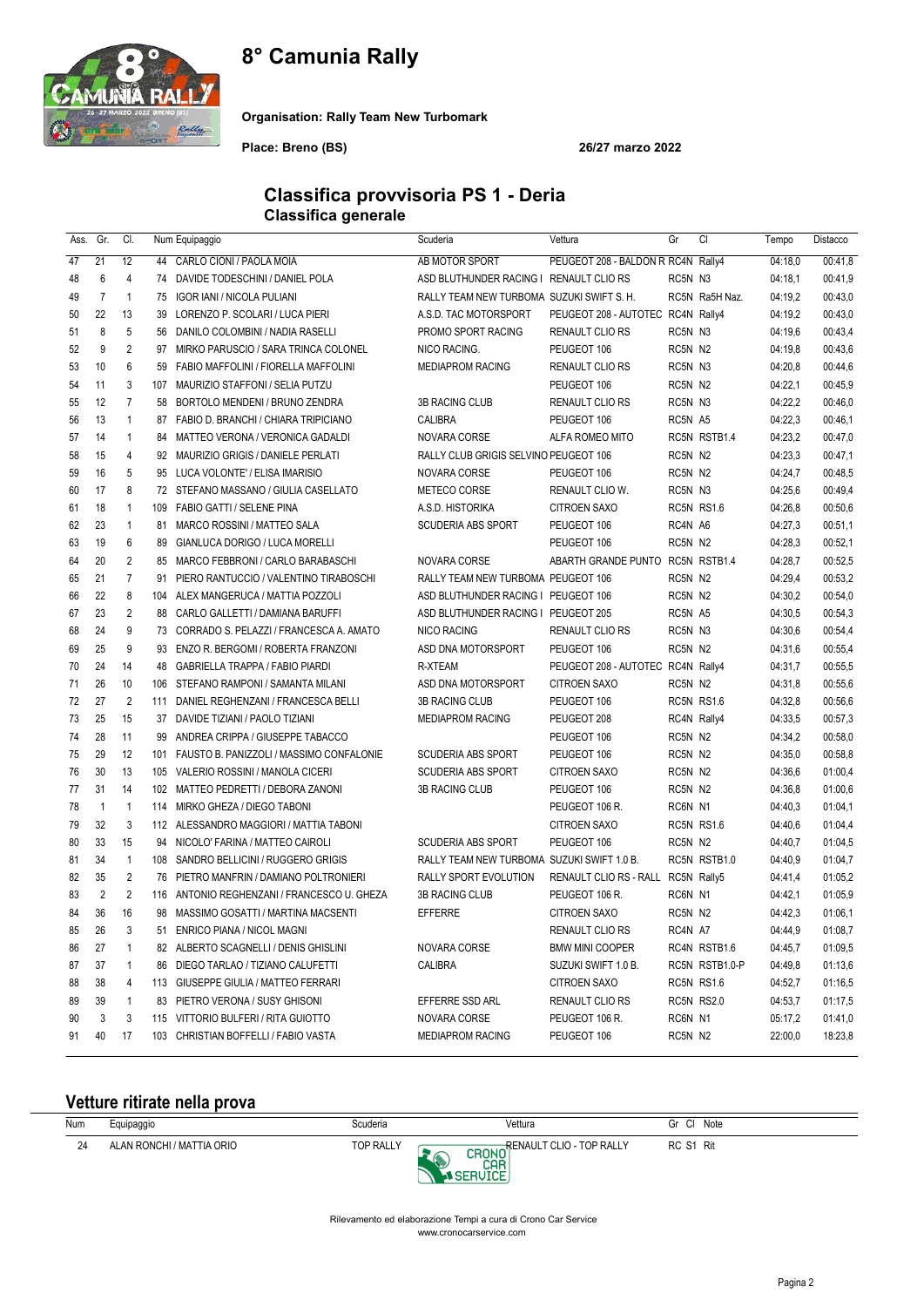# 8° Camunia Rally



Organisation: Rally Team New Turbomark

Place: Breno (BS) 26/27 marzo 2022

#### Classifica provvisoria PS 1 - Deria Classifica generale

| Ass. | Gr.            | CI.            |     | Num Equipaggio                               | Scuderia                                   | Vettura                            | Gr          | CI             | Tempo   | Distacco |
|------|----------------|----------------|-----|----------------------------------------------|--------------------------------------------|------------------------------------|-------------|----------------|---------|----------|
| 47   | 21             | 12             |     | 44 CARLO CIONI / PAOLA MOIA                  | AB MOTOR SPORT                             | PEUGEOT 208 - BALDON R RC4N Rally4 |             |                | 04:18,0 | 00:41,8  |
| 48   | 6              | 4              |     | 74 DAVIDE TODESCHINI / DANIEL POLA           | ASD BLUTHUNDER RACING I RENAULT CLIO RS    |                                    | RC5N N3     |                | 04:18.1 | 00:41,9  |
| 49   | $\overline{7}$ | $\mathbf{1}$   | 75  | <b>IGOR IANI / NICOLA PULIANI</b>            | RALLY TEAM NEW TURBOMA SUZUKI SWIFT S. H.  |                                    |             | RC5N Ra5H Naz. | 04:19,2 | 00:43,0  |
| 50   | 22             | 13             | 39  | LORENZO P. SCOLARI / LUCA PIERI              | A.S.D. TAC MOTORSPORT                      | PEUGEOT 208 - AUTOTEC RC4N Rally4  |             |                | 04:19,2 | 00:43,0  |
| 51   | 8              | 5              | 56  | DANILO COLOMBINI / NADIA RASELLI             | PROMO SPORT RACING                         | RENAULT CLIO RS                    | RC5N N3     |                | 04:19,6 | 00:43,4  |
| 52   | 9              | $\overline{2}$ | 97  | MIRKO PARUSCIO / SARA TRINCA COLONEL         | NICO RACING.                               | PEUGEOT 106                        | RC5N N2     |                | 04:19.8 | 00:43,6  |
| 53   | 10             | 6              | 59  | FABIO MAFFOLINI / FIORELLA MAFFOLINI         | <b>MEDIAPROM RACING</b>                    | RENAULT CLIO RS                    | RC5N N3     |                | 04:20,8 | 00:44.6  |
| 54   | 11             | 3              | 107 | MAURIZIO STAFFONI / SELIA PUTZU              |                                            | PEUGEOT 106                        | RC5N N2     |                | 04:22,1 | 00:45,9  |
| 55   | 12             | $\overline{7}$ | 58  | BORTOLO MENDENI / BRUNO ZENDRA               | 3B RACING CLUB                             | <b>RENAULT CLIO RS</b>             | RC5N N3     |                | 04:22,2 | 00:46,0  |
| 56   | 13             | $\mathbf{1}$   |     | 87 FABIO D. BRANCHI / CHIARA TRIPICIANO      | CALIBRA                                    | PEUGEOT 106                        | RC5N A5     |                | 04:22,3 | 00:46,1  |
| 57   | 14             | $\mathbf{1}$   |     | 84 MATTEO VERONA / VERONICA GADALDI          | NOVARA CORSE                               | ALFA ROMEO MITO                    |             | RC5N RSTB1.4   | 04:23,2 | 00:47,0  |
| 58   | 15             | $\overline{4}$ |     | 92 MAURIZIO GRIGIS / DANIELE PERLATI         | RALLY CLUB GRIGIS SELVINO PEUGEOT 106      |                                    | RC5N N2     |                | 04:23,3 | 00:47,1  |
| 59   | 16             | 5              |     | 95 LUCA VOLONTE' / ELISA IMARISIO            | NOVARA CORSE                               | PEUGEOT 106                        | RC5N N2     |                | 04:24,7 | 00:48,5  |
| 60   | 17             | 8              |     | 72 STEFANO MASSANO / GIULIA CASELLATO        | METECO CORSE                               | RENAULT CLIO W.                    | RC5N N3     |                | 04:25,6 | 00:49,4  |
| 61   | 18             | $\mathbf{1}$   | 109 | FABIO GATTI / SELENE PINA                    | A.S.D. HISTORIKA                           | <b>CITROEN SAXO</b>                |             | RC5N RS1.6     | 04:26,8 | 00:50,6  |
| 62   | 23             | $\mathbf{1}$   | 81  | MARCO ROSSINI / MATTEO SALA                  | <b>SCUDERIA ABS SPORT</b>                  | PEUGEOT 106                        | RC4N A6     |                | 04:27,3 | 00:51,1  |
| 63   | 19             | 6              | 89  | GIANLUCA DORIGO / LUCA MORELLI               |                                            | PEUGEOT 106                        | RC5N N2     |                | 04:28,3 | 00:52,1  |
| 64   | 20             | $\overline{2}$ | 85  | MARCO FEBBRONI / CARLO BARABASCHI            | NOVARA CORSE                               | ABARTH GRANDE PUNTO                |             | RC5N RSTB1.4   | 04:28,7 | 00:52,5  |
| 65   | 21             | $\overline{7}$ | 91  | PIERO RANTUCCIO / VALENTINO TIRABOSCHI       | RALLY TEAM NEW TURBOMA PEUGEOT 106         |                                    | RC5N N2     |                | 04:29,4 | 00:53,2  |
| 66   | 22             | 8              |     | 104 ALEX MANGERUCA / MATTIA POZZOLI          | ASD BLUTHUNDER RACING I PEUGEOT 106        |                                    | RC5N N2     |                | 04:30,2 | 00:54,0  |
| 67   | 23             | $\overline{2}$ | 88  | CARLO GALLETTI / DAMIANA BARUFFI             | ASD BLUTHUNDER RACING I PEUGEOT 205        |                                    | RC5N A5     |                | 04:30,5 | 00:54,3  |
| 68   | 24             | 9              |     | 73 CORRADO S. PELAZZI / FRANCESCA A. AMATO   | <b>NICO RACING</b>                         | <b>RENAULT CLIO RS</b>             | RC5N N3     |                | 04:30,6 | 00:54,4  |
| 69   | 25             | 9              | 93  | ENZO R. BERGOMI / ROBERTA FRANZONI           | ASD DNA MOTORSPORT                         | PEUGEOT 106                        | RC5N N2     |                | 04:31,6 | 00:55,4  |
| 70   | 24             | 14             | 48  | GABRIELLA TRAPPA / FABIO PIARDI              | R-XTEAM                                    | PEUGEOT 208 - AUTOTEC RC4N Rally4  |             |                | 04:31,7 | 00:55,5  |
| 71   | 26             | 10             |     | 106 STEFANO RAMPONI / SAMANTA MILANI         | ASD DNA MOTORSPORT                         | <b>CITROEN SAXO</b>                | RC5N N2     |                | 04:31,8 | 00:55,6  |
| 72   | 27             | $\overline{2}$ | 111 | DANIEL REGHENZANI / FRANCESCA BELLI          | 3B RACING CLUB                             | PEUGEOT 106                        |             | RC5N RS1.6     | 04:32,8 | 00:56.6  |
| 73   | 25             | 15             | 37  | DAVIDE TIZIANI / PAOLO TIZIANI               | <b>MEDIAPROM RACING</b>                    | PEUGEOT 208                        |             | RC4N Rally4    | 04:33,5 | 00:57,3  |
| 74   | 28             | 11             | 99  | ANDREA CRIPPA / GIUSEPPE TABACCO             |                                            | PEUGEOT 106                        | RC5N N2     |                | 04:34,2 | 00:58,0  |
| 75   | 29             | 12             |     | 101 FAUSTO B. PANIZZOLI / MASSIMO CONFALONIE | <b>SCUDERIA ABS SPORT</b>                  | PEUGEOT 106                        | RC5N N2     |                | 04:35,0 | 00:58,8  |
| 76   | 30             | 13             |     | 105 VALERIO ROSSINI / MANOLA CICERI          | <b>SCUDERIA ABS SPORT</b>                  | <b>CITROEN SAXO</b>                | RC5N N2     |                | 04:36,6 | 01:00,4  |
| 77   | 31             | 14             |     | 102 MATTEO PEDRETTI / DEBORA ZANONI          | <b>3B RACING CLUB</b>                      | PEUGEOT 106                        | RC5N N2     |                | 04:36.8 | 01:00.6  |
| 78   | $\mathbf{1}$   | $\mathbf{1}$   |     | 114 MIRKO GHEZA / DIEGO TABONI               |                                            | PEUGEOT 106 R.                     | RC6N N1     |                | 04:40,3 | 01:04,1  |
| 79   | 32             | 3              |     | 112 ALESSANDRO MAGGIORI / MATTIA TABONI      |                                            | <b>CITROEN SAXO</b>                |             | RC5N RS1.6     | 04:40.6 | 01:04,4  |
| 80   | 33             | 15             | 94  | NICOLO' FARINA / MATTEO CAIROLI              | <b>SCUDERIA ABS SPORT</b>                  | PEUGEOT 106                        | RC5N N2     |                | 04:40,7 | 01:04,5  |
| 81   | 34             | $\mathbf{1}$   |     | 108 SANDRO BELLICINI / RUGGERO GRIGIS        | RALLY TEAM NEW TURBOMA SUZUKI SWIFT 1.0 B. |                                    |             | RC5N RSTB1.0   | 04:40.9 | 01:04,7  |
| 82   | 35             | 2              |     | 76 PIETRO MANFRIN / DAMIANO POLTRONIERI      | RALLY SPORT EVOLUTION                      | RENAULT CLIO RS - RALL             | RC5N Rally5 |                | 04:41.4 | 01:05,2  |
| 83   | $\overline{2}$ | $\overline{2}$ |     | 116 ANTONIO REGHENZANI / FRANCESCO U. GHEZA  | 3B RACING CLUB                             | PEUGEOT 106 R.                     | RC6N N1     |                | 04:42,1 | 01:05,9  |
| 84   | 36             | 16             |     | 98 MASSIMO GOSATTI / MARTINA MACSENTI        | <b>EFFERRE</b>                             | <b>CITROEN SAXO</b>                | RC5N N2     |                | 04:42,3 | 01:06,1  |
| 85   | 26             | 3              |     | 51 ENRICO PIANA / NICOL MAGNI                |                                            | RENAULT CLIO RS                    | RC4N A7     |                | 04:44,9 | 01:08,7  |
| 86   | 27             | 1              |     | 82 ALBERTO SCAGNELLI / DENIS GHISLINI        | NOVARA CORSE                               | <b>BMW MINI COOPER</b>             |             | RC4N RSTB1.6   | 04:45,7 | 01:09,5  |
| 87   | 37             | 1              |     | 86 DIEGO TARLAO / TIZIANO CALUFETTI          | CALIBRA                                    | SUZUKI SWIFT 1.0 B.                |             | RC5N RSTB1.0-P | 04:49,8 | 01:13.6  |
| 88   | 38             | 4              |     | 113 GIUSEPPE GIULIA / MATTEO FERRARI         |                                            | <b>CITROEN SAXO</b>                |             | RC5N RS1.6     | 04:52,7 | 01:16,5  |
| 89   | 39             | 1              |     | 83 PIETRO VERONA / SUSY GHISONI              | EFFERRE SSD ARL                            | RENAULT CLIO RS                    |             | RC5N RS2.0     | 04:53,7 | 01:17,5  |
| 90   | 3              | 3              |     | 115 VITTORIO BULFERI / RITA GUIOTTO          | NOVARA CORSE                               | PEUGEOT 106 R.                     | RC6N N1     |                | 05:17,2 | 01:41,0  |
| 91   | 40             | 17             |     | 103 CHRISTIAN BOFFELLI / FABIO VASTA         | <b>MEDIAPROM RACING</b>                    | PEUGEOT 106                        | RC5N N2     |                | 22:00,0 | 18:23,8  |
|      |                |                |     |                                              |                                            |                                    |             |                |         |          |

### Vetture ritirate nella prova

| Num | Equipaggio                | Scuderia         | Vettura                               | Gr Cl Note |
|-----|---------------------------|------------------|---------------------------------------|------------|
| 24  | ALAN RONCHI / MATTIA ORIO | <b>TOP RALLY</b> | CRONO RENAULT CLIO - TOP RALLY<br>CAR | RC S1 Rit  |

Rilevamento ed elaborazione Tempi a cura di Crono Car Service www.cronocarservice.com